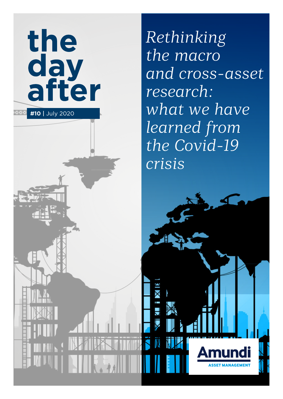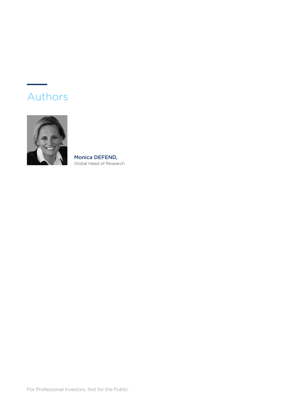# Authors



Monica DEFEND, Global Head of Research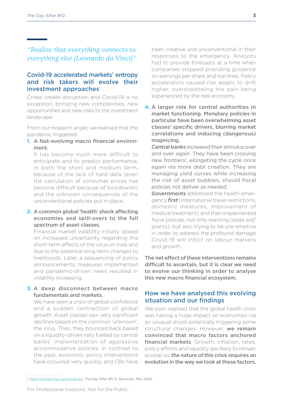# *"Realize that everything connects to everything else (Leonardo da Vinci)"*

# Covid-19 accelerated markets' entropy and risk takers will evolve their investment approaches

Crises create disruption and Covid-19 is no exception, bringing new complexities, new opportunities and new risks to the investment landscape.

From our research angle, we realised that the pandemic triggered:

1. A fast-evolving macro financial environment.

It has become much more difficult to anticipate and to predict performance, in both the short and medium term, because of the lack of hard data (even the calculation of consumer prices has become difficult because of lockdowns!) and the unknown consequences of the unconventional policies put in place.

## 2. A common global 'health' shock affecting economies and spill-overs to the full spectrum of asset classes.

Financial market volatility initially spiked on increased uncertainty regarding the short-term effects of the virus on lives and due to the potential long-term changes to livelihoods. Later, a sequencing of policy announcements, measures implemented and pandemic-driven news resulted in volatility increasing.

## 3. A deep disconnect between macro fundamentals and markets.

We have seen a crisis of global confidence and a sudden contraction of global growth. Asset classes saw very significant declines based on the common 'unknown', the virus. Then, they bounced back based on a liquidity-driven rally fuelled by central banks' implementation of aggressive accommodative policies. In contrast to the past, economic policy interventions have occurred very quickly, and CBs have

been creative and unconventional in their responses to the emergency. Analysts had to provide forecasts at a time when companies stopped providing guidance on earnings per share and top lines. Policy accelerators caused risk assets to drift higher, overshadowing the pain being experienced by the real economy.

4. A larger role for central authorities in market functioning. Monetary policies in particular have been overwhelming asset classes' specific drivers, blurring market correlations and inducing (dangerous) mispricing.

Central banks increased their stimulus over and over again. They have been crossing new frontiers<sup>1</sup>, elongating the cycle once again via more debt creation. They are managing yield curves while increasing the risk of asset bubbles, should fiscal policies not deliver as needed.

Governments addressed the health emergency *first* (international travel restrictions, domestic measures, improvement of medical treatment) and then implemented fiscal policies, not only reacting (state aid/ grants), but also trying to be pre-emptive in order to address the profound damage Covid-19 will inflict on labour markets and growth.

The net effect of these interventions remains difficult to ascertain, but it is clear we need to evolve our thinking in order to analyse this new macro financial ecosystem.

# How we have analysed this evolving situation and our findings

We soon realised that the global health crisis was having a huge impact on economies via an unusual shock potentially triggering some structural changes. However, we remain convinced that macro factors anchored financial markets. Growth, inflation, rates, policy efforts and liquidity are likely to remain pivotal, so, the nature of this crisis requires an evolution in the way we look at these factors.

1. New Frontiers for Central Banks, The Day After #5, D. Borowski, May 2020.

For Professional Investors. Not for the Public.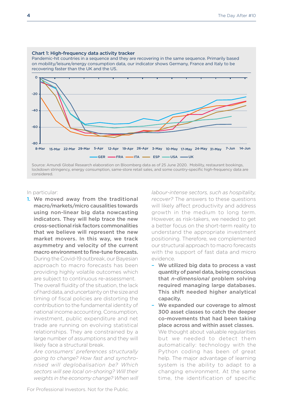#### Chart 1: High-frequency data activity tracker

Pandemic-hit countries in a sequence and they are recovering in the same sequence. Primarily based on mobility/leisure/energy consumption data, our indicator shows Germany, France and Italy to be recovering faster than the UK and the US.



lockdown stringency, energy consumption, same-store retail sales, and some country-specific high-frequency data are considered.

#### In particular:

1. We moved away from the traditional macro/markets/micro causalities towards using non-linear big data nowcasting indicators. They will help trace the new cross-sectional risk factors commonalities that we believe will represent the new market movers. In this way, we track asymmetry and velocity of the current macro environment to fine-tune forecasts. During the Covid-19 outbreak, our Bayesian approach to macro forecasts has been providing highly volatile outcomes which are subject to continuous re-assessment.

The overall fluidity of the situation, the lack of hard data, and uncertainty on the size and timing of fiscal policies are distorting the contribution to the fundamental identity of national income accounting. Consumption, investment, public expenditure and net trade are running on evolving statistical relationships. They are constrained by a large number of assumptions and they will likely face a structural break.

*Are consumers' preferences structurally going to change? How fast and synchronised will deglobalisation be? Which sectors will see local on-shoring? Will their weights in the economy change? When will*  *labour-intense sectors, such as hospitality, recover?* The answers to these questions will likely affect productivity and address growth in the medium to long term. However, as risk-takers, we needed to get a better focus on the short-term reality to understand the appropriate investment positioning. Therefore, we complemented our structural approach to macro forecasts with the support of fast data and micro evidence.

- We utilized big data to process a vast quantity of panel data, being conscious that *n-dimensional* problem solving required managing large databases. This shift needed higher analytical capacity.
- We expanded our coverage to almost 300 asset classes to catch the deeper co-movements that had been taking place across and within asset classes.

We thought about valuable regularities but we needed to detect them automatically: technology with the Python coding has been of great help. The major advantage of learning system is the ability to adapt to a changing environment. At the same time, the identification of specific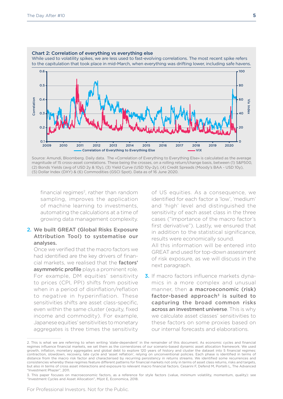

#### Chart 2: Correlation of everything vs everything else

While used to volatility spikes, we are less used to fast-evolving correlations. The most recent spike refers

Source: Amundi, Bloomberg. Daily data. The «Correlation of Everything to Everything Else» is calculated as the average magnitude of 15 cross-asset correlations. These being the crosses, on a rolling return/change basis, between (1) S&P500, (2) Bonds Yields (avg of USD 2y & 10y), (3) Yield Curve (USD 10y-2y), (4) Credit Spreads (Moody's BAA - USD 10y), (5) Dollar Index (DXY) & (6) Commodities (GSCI Spot). Data as of 16 June 2020.

financial regimes<sup>2</sup>, rather than random sampling, improves the application of machine learning to investments, automating the calculations at a time of growing data management complexity.

## 2. We built GREAT (Global Risks Exposure Attribution Tool) to systematise our analyses.

Once we verified that the macro factors we had identified are the key drivers of financial markets, we realised that the factors' asymmetric profile plays a prominent role. For example, DM equities' sensitivity to prices (CPI, PPI) shifts from positive when in a period of disinflation/reflation to negative in hyperinflation. These sensitivities shifts are asset class-specific, even within the same cluster (equity, fixed income and commodity). For example, Japanese equities' sensitivities to monetary aggregates is three times the sensitivity

of US equities. As a consequence, we identified for each factor a 'low', 'medium' and 'high' level and distinguished the sensitivity of each asset class in the three cases ("importance of the macro factor's first derivative"). Lastly, we ensured that in addition to the statistical significance, results were economically sound.

All this information will be entered into GREAT and used for top-down assessment of risk exposure, as we will discuss in the next paragraph.

**3.** If macro factors influence markets dynamics in a more complex and unusual manner, then a macroeconomic (risk) factor-based approach<sup>3</sup> is suited to capturing the broad common risks across an investment universe. This is why we calculate asset classes' sensitivities to these factors on some proxies based on our internal forecasts and elaborations.

<sup>2.</sup> This is what we are referring to when writing 'state-dependent' in the remainder of this document. As economic cycles and financial regimes influence financial markets, we set them as the cornerstones of our scenario-based dynamic asset allocation framework. We used growth, inflation, monetary aggregates and global debt to explore 120 years of history and cluster the dataset into 5 financial regimes: contraction, slowdown, recovery, late cycle and 'asset reflation', relying on unconventional policies. Each phase is identified in terms of distance from the macro risk factor and characterised by recurring persistency in returns streams. We identified some recurrences and consistencies whereby these regimes feature different patterns for financial markets not only in terms of asset class returns, risks and targets, but also in terms of cross asset interactions and exposure to relevant macro financial factors. Cesarini F, Defend M, Portelli L, The Advanced "Investment Phazer", 2011.

<sup>3.</sup> This paper focuses on macroeconomic factors, as a reference for style factors (value, minimum volatility, momentum, quality): see "Investment Cycles and Asset Allocation", Mijot E, Economica, 2018.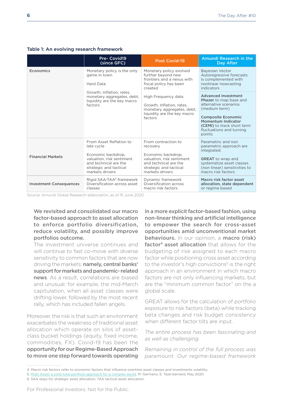#### Table 1: An evolving research framework

|                                | Pre- Covid19<br>(since GFC)                                                                                                                                    | <b>Post Covid-19</b>                                                                                                                                                                                                                         | <b>Amundi Research in the</b><br>Day After                                                                                                                                                                                   |
|--------------------------------|----------------------------------------------------------------------------------------------------------------------------------------------------------------|----------------------------------------------------------------------------------------------------------------------------------------------------------------------------------------------------------------------------------------------|------------------------------------------------------------------------------------------------------------------------------------------------------------------------------------------------------------------------------|
| Economics                      | Monetary policy is the only<br>game in town<br>Hard Data                                                                                                       | Monetary policy evolved<br>further beyond new<br>frontiers and a nexus with<br>fiscal policy has been<br>created<br>High Frequency data<br>Growth, Inflation, rates,<br>monetary aggregates, debt,<br>liquidity are the key macro<br>factors | <b>Bayesian Vector</b><br>Autoregressive forecasts<br>is complemented with<br>nonlinear nowcasting<br>indicators                                                                                                             |
|                                | Growth, Inflation, rates,<br>monetary aggregates, debt,<br>liquidity are the key macro<br>factors                                                              |                                                                                                                                                                                                                                              | <b>Advanced Investment</b><br>Phazer to map base and<br>alternative scenarios<br>(medium term)<br><b>Composite Economic</b><br><b>Momentum Indicator</b><br>(CEMI) to track short term<br>fluctuations and turning<br>points |
| <b>Financial Markets</b>       | From Asset Reflation to<br>late cycle<br>Economic backdrop,<br>valuation, risk sentiment<br>and technical are the<br>strategic and tactical<br>markets drivers | From contraction to<br>recovery<br>Economic backdrop,<br>valuation, risk sentiment<br>and technical are the<br>strategic and tactical<br>markets drivers                                                                                     | Parametric and non<br>parametric approach are<br>integrated.<br><b>GREAT</b> to wrap and<br>systematize asset classes<br>(non linear) sensitivities to<br>macro risk factors                                                 |
| <b>Investment Consequences</b> | Rigid SAA-TAA <sup>6</sup> framework<br>Diversification across asset<br>classes                                                                                | Dynamic framework<br>Diversification across<br>macro risk factors                                                                                                                                                                            | Macro risk factor asset<br>allocation, state dependent<br>or regime based                                                                                                                                                    |

Source: Amundi Global Research elaboration, as of 15 June 2020.

## We revisited and consolidated our macro factor-based approach to asset allocation to enforce portfolio diversification, reduce volatility, and possibly improve portfolios outcome.

The investment universe continues and will continue to fast co-move with diverse sensitivity to common factors that are now driving the markets: **namely, central banks'** support for markets and pandemic- related news. As a result, correlations are biased and unusual: for example, the mid-March capitulation, when all asset classes were drifting lower, followed by the most recent rally, which has included fallen angels.

Moreover, the risk is that such an environment exacerbates the weakness of traditional asset allocation which operate on silos of assetclass bucket holdings (equity, fixed income, commodities, FX). Covid-19 has been the opportunity for our Regime-Based Approach to move one step forward towards operating

in a more explicit factor-based fashion, using non-linear thinking and artificial intelligence to empower the search for cross-asset opportunities amid unconventional market behaviours. In our opinion, a macro (risk) factor<sup>4</sup> asset allocation that allows for the budgeting of risk assigned to each macro factor while positioning cross asset according to the investor's high convictions<sup>5</sup> is the right approach in an environment in which macro factors are not only influencing markets, but are the "minimum common factor" on the a global scale.

GREAT allows for the calculation of portfolio exposure to risk factors (beta) while tracking beta changes and risk budget consistency when different factor tilts are input.

*The entire process has been fascinating and as well as challenging.* 

*Remaining in control of the full process was paramount. Our regime-based framework* 

5. Multi Asset: a solid total portfolio approach for a complex world, M. Germano, E. Tazé-bernard, May 2020.

<sup>4.</sup> Macro risk factors refer to economic factors that influence overtime asset classes and investments volatility.

<sup>6.</sup> SAA stays for strategic asset allocation, TAA tactical asset allocation.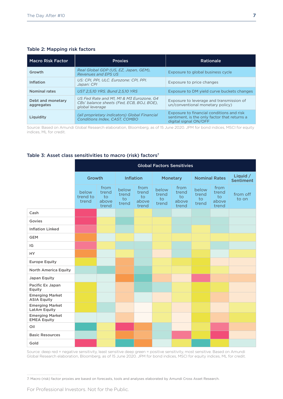#### Table 2: Mapping risk factors

| <b>Macro Risk Factor</b>        | <b>Proxies</b>                                                                                           | <b>Rationale</b>                                                                                                   |
|---------------------------------|----------------------------------------------------------------------------------------------------------|--------------------------------------------------------------------------------------------------------------------|
| Growth                          | Real Global GDP (US, EZ, Japan, GEM),<br>Revenues and EPS US                                             | Exposure to global business cycle                                                                                  |
| Inflation                       | US: CPI, PPI, ULC, Eurozone: CPI, PPI,<br>Japan: CPI                                                     | Exposure to price changes                                                                                          |
| <b>Nominal rates</b>            | UST 2.5.10 YRS. Bund 2.5.10 YRS                                                                          | Exposure to DM yield curve buckets changes                                                                         |
| Debt and monetary<br>aggregates | US Fed Rate and M1, M1 & M3 Eurozone, G4<br>CBs' balance sheets (Fed, ECB, BOJ, BOE),<br>global leverage | Exposure to leverage and transmission of<br>un/conventional monetary policy)                                       |
| Liquidity                       | (all proprietary indicators) Global Financial<br>Conditions Index, CAST, COMBO                           | Exposure to financial conditions and risk<br>sentiment, is the only factor that returns a<br>digital signal ON/OFF |

Source: Based on Amundi Global Research elaboration, Bloomberg, as of 15 June 2020. JPM for bond indices, MSCI for equity indices, ML for credit.

#### Table 3: Asset class sensitivities to macro (risk) factors<sup>7</sup>

|                                              | <b>Global Factors Sensitivies</b> |                                       |                                           |                                                  |                                          |                                                  |                                          |                                                  |                   |
|----------------------------------------------|-----------------------------------|---------------------------------------|-------------------------------------------|--------------------------------------------------|------------------------------------------|--------------------------------------------------|------------------------------------------|--------------------------------------------------|-------------------|
|                                              | Growth                            |                                       | <b>Inflation</b>                          |                                                  | <b>Monetary</b>                          | <b>Nominal Rates</b>                             |                                          | Liquid $/$<br><b>Sentiment</b>                   |                   |
|                                              | below<br>trend to<br>trend        | from<br>trend<br>to<br>above<br>trend | below<br>trend<br>$\overline{t}$<br>trend | from<br>trend<br>$\mathsf{to}$<br>above<br>trend | below<br>trend<br>$\mathsf{to}$<br>trend | from<br>trend<br>$\mathsf{to}$<br>above<br>trend | below<br>trend<br>$\mathsf{to}$<br>trend | from<br>trend<br>$\mathsf{to}$<br>above<br>trend | from off<br>to on |
| Cash                                         |                                   |                                       |                                           |                                                  |                                          |                                                  |                                          |                                                  |                   |
| Govies                                       |                                   |                                       |                                           |                                                  |                                          |                                                  |                                          |                                                  |                   |
| <b>Inflation Linked</b>                      |                                   |                                       |                                           |                                                  |                                          |                                                  |                                          |                                                  |                   |
| <b>GEM</b>                                   |                                   |                                       |                                           |                                                  |                                          |                                                  |                                          |                                                  |                   |
| IG                                           |                                   |                                       |                                           |                                                  |                                          |                                                  |                                          |                                                  |                   |
| <b>HY</b>                                    |                                   |                                       |                                           |                                                  |                                          |                                                  |                                          |                                                  |                   |
| <b>Europe Equity</b>                         |                                   |                                       |                                           |                                                  |                                          |                                                  |                                          |                                                  |                   |
| <b>North America Equity</b>                  |                                   |                                       |                                           |                                                  |                                          |                                                  |                                          |                                                  |                   |
| Japan Equity                                 |                                   |                                       |                                           |                                                  |                                          |                                                  |                                          |                                                  |                   |
| Pacific Ex Japan<br>Equity                   |                                   |                                       |                                           |                                                  |                                          |                                                  |                                          |                                                  |                   |
| <b>Emerging Market</b><br><b>ASIA Equity</b> |                                   |                                       |                                           |                                                  |                                          |                                                  |                                          |                                                  |                   |
| <b>Emerging Market</b><br>LatAm Equity       |                                   |                                       |                                           |                                                  |                                          |                                                  |                                          |                                                  |                   |
| <b>Emerging Market</b><br><b>EMEA Equity</b> |                                   |                                       |                                           |                                                  |                                          |                                                  |                                          |                                                  |                   |
| Oil                                          |                                   |                                       |                                           |                                                  |                                          |                                                  |                                          |                                                  |                   |
| <b>Basic Resources</b>                       |                                   |                                       |                                           |                                                  |                                          |                                                  |                                          |                                                  |                   |
| Gold                                         |                                   |                                       |                                           |                                                  |                                          |                                                  |                                          |                                                  |                   |

Source: deep red = negative sensitivity, least sensitive deep green = positive sensitivity, most sensitive. Based on Amundi Global Research elaboration, Bloomberg, as of 15 June 2020. JPM for bond indices, MSCI for equity indices, ML for credit.

7. Macro (risk) factor proxies are based on forecasts, tools and analyses elaborated by Amundi Cross Asset Research.

For Professional Investors. Not for the Public.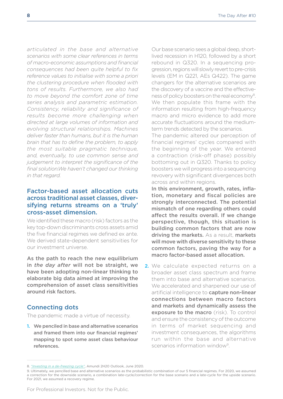*articulated in the base and alternative scenarios with some clear references in terms of macro-economic assumptions and financial consequences had been quite helpful to fix reference values to initialise with some a priori the clustering procedure when flooded with tons of results. Furthermore, we also had to move beyond the comfort zone of time series analysis and parametric estimation. Consistency, reliability and significance of results become more challenging when directed at large volumes of information and evolving structural relationships. Machines deliver faster than humans, but it is the human brain that has to define the problem, to apply the most suitable pragmatic technique, and, eventually, to use common sense and judgement to interpret the significance of the final solution.We haven't changed our thinking in that regard.* 

# Factor-based asset allocation cuts across traditional asset classes, diversifying returns streams on a 'truly' cross-asset dimension.

We identified these macro (risk) factors as the key top-down discriminants cross assets amid the five financial regimes we defined ex ante. We derived state-dependent sensitivities for our investment universe.

As the path to reach the new equilibrium in *the day after* will not be straight, we have been adopting non-linear thinking to elaborate big data aimed at improving the comprehension of asset class sensitivities around risk factors.

# Connecting dots

The pandemic made a virtue of necessity.

1. We penciled in base and alternative scenarios and framed them into our financial regimes' mapping to spot some asset class behaviour references.

Our base scenario sees a global deep, shortlived recession in H120, followed by a short rebound in Q320. In a sequencing progression, regions will slowly revert to pre-crisis levels (EM in Q221, AEs Q422). The game changers for the alternative scenarios are the discovery of a vaccine and the effectiveness of policy boosters on the real economy8. We then populate this frame with the information resulting from high-frequency macro and micro evidence to add more accurate fluctuations around the mediumterm trends detected by the scenarios.

The pandemic altered our perception of financial regimes' cycles compared with the beginning of the year. We entered a contraction (risk-off phase) possibly bottoming out in Q320. Thanks to policy boosters we will progress into a sequencing revovery with significant divergences both across and within regions.

In this environment, growth, rates, inflation, monetary and fiscal policies are strongly interconnected. The potential mismatch of one regarding others could affect the results overall. If we change perspective, though, this situation is building common factors that are now driving the markets. As a result, markets will move with diverse sensitivity to these common factors, paving the way for a macro factor-based asset allocation.

2. We calculate expected returns on a broader asset class spectrum and frame them into base and alternative scenarios. We accelerated and sharpened our use of artificial intelligence to **capture non-linear** connections between macro factors and markets and dynamically assess the **exposure to the macro** (risk). To control and ensure the consistency of the outcome in terms of market sequencing and investment consequences, the algorithms run within the base and alternative scenarios information window<sup>9</sup>

<sup>8.</sup> *"Investing in a de-freezing cycle"*, Amundi 2H20 Outlook, June 2020.

<sup>9.</sup> Ultimately, we pencilled base and alternative scenarios as the probabilistic combination of our 5 financial regimes. For 2020, we assumed a correction for the downside scenario, a combination late-cycle/correction for the base scenario and a late-cycle for the upside scenario. For 2021, we assumed a recovery regime.

For Professional Investors. Not for the Public.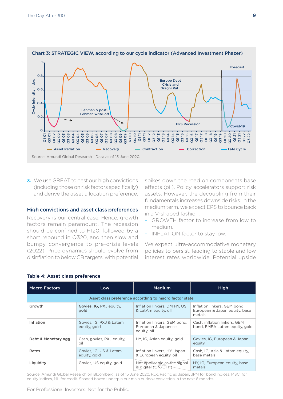

**3.** We use GREAT to nest our high convictions (including those on risk factors specifically) and derive the asset allocation preference.

#### High convictions and asset class preferences

Recovery is our central case. Hence, growth factors remain paramount. The recession should be confined to H120, followed by a short rebound in Q320, and then slow and bumpy convergence to pre-crisis levels (2022). Price dynamics should evolve from disinflation to below CB targets, with potential

spikes down the road on components base effects (oil). Policy accelerators support risk assets. However, the decoupling from their fundamentals increases downside risks. In the medium term, we expect EPS to bounce back in a V-shaped fashion.

- GROWTH factor to increase from low to medium.
- INFLATION factor to stay low.

We expect ultra-accommodative monetary policies to persist, leading to stable and low interest rates worldwide. Potential upside

| <b>Macro Factors</b>                                   | Low                                     | <b>Medium</b>                                                      | High                                                                    |  |  |
|--------------------------------------------------------|-----------------------------------------|--------------------------------------------------------------------|-------------------------------------------------------------------------|--|--|
| Asset class preference according to macro factor state |                                         |                                                                    |                                                                         |  |  |
| Growth                                                 | Govies, IG, PXJ equity,<br>gold         | Inflation linkers. DM HY. US<br>& LatAm equity, oll                | Inflation linkers. GEM bond.<br>European & Japan equity, base<br>metals |  |  |
| Inflation                                              | Govies, IG, PXJ & Latam<br>equity, gold | Inflation linkers, GEM bond,<br>European & Japanese<br>equity, oil | Cash, inflation linkers, GEM<br>bond, EMEA Latam equity, gold           |  |  |
| Debt & Monetary agg                                    | Cash, govies, PXJ equity,<br>oil        | HY, IG, Asian equity, gold                                         | Govies, IG, European & Japan<br>equity                                  |  |  |
| Rates                                                  | Govies, IG, US & Latam<br>equity, gold  | Inflation linkers, HY, Japan<br>& European equity, oil             | Cash, IG, Asia & Latam equity,<br>base metals                           |  |  |
| Liquidity                                              | Govies, US equity, gold                 | Not applicable as the signal<br>is digital (ON/OFF)                | HY, IG, European equity, base<br>metals                                 |  |  |

#### Table 4: Asset class preference

Source: Amundi Global Research on Bloomberg, as of 15 June 2020. PJX, Pacific ex Japan, JPM for bond indices, MSCI for equity indices, ML for credit. Shaded boxed underpin our main outlook conviction in the next 6 months.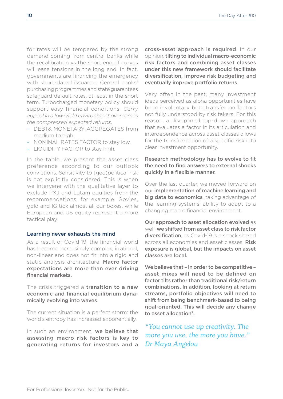for rates will be tempered by the strong demand coming from central banks while the recalibration vs the short end of curves will ease tensions in the long end. In fact, governments are financing the emergency with short-dated issuance. Central banks' purchasing programmes and state guarantees safeguard default rates, at least in the short term. Turbocharged monetary policy should support easy financial conditions. *Carry appeal in a low-yield environment overcomes the compressed expected returns*.

- DEBT& MONETARY AGGREGATES from medium to high
- NOMINAL RATES FACTOR to stay low.
- LIQUIDITY FACTOR to stay high.

In the table, we present the asset class preference according to our outlook convictions. Sensitivity to (geo)political risk is not explicitly considered. This is when we intervene with the qualitative layer to exclude PXJ and Latam equities from the recommendations, for example. Govies, gold and IG tick almost all our boxes, while European and US equity represent a more tactical play.

#### Learning never exhausts the mind

As a result of Covid-19, the financial world has become increasingly complex, irrational, non-linear and does not fit into a rigid and static analysis architecture. Macro factor expectations are more than ever driving financial markets.

The crisis triggered a **transition to a new** economic and financial equilibrium dynamically evolving into waves.

The current situation is a perfect storm: the world's entropy has increased exponentially.

In such an environment, we believe that assessing macro risk factors is key to generating returns for investors and a cross-asset approach is required. In our opinion, tilting to individual macro-economic risk factors and combining asset classes under this new framework should facilitate diversification, improve risk budgeting and eventually improve portfolio returns.

Very often in the past, many investment ideas perceived as alpha opportunities have been involuntary beta transfer on factors not fully understood by risk takers. For this reason, a disciplined top-down approach that evaluates a factor in its articulation and interdependence across asset classes allows for the transformation of a specific risk into clear investment opportunity.

## Research methodology has to evolve to fit the need to find answers to external shocks quickly in a flexible manner.

Over the last quarter, we moved forward on our implementation of machine learning and big data to economics, taking advantage of the learning systems' ability to adapt to a changing macro financial environment.

Our approach to asset allocation evolved as well: we shifted from asset class to risk factor diversification, as Covid-19 is a shock shared across all economies and asset classes. Risk exposure is global, but the impacts on asset classes are local.

We believe that – in order to be competitive – asset mixes will need to be defined on factor tilts rather than traditional risk/return combinations. In addition, looking at return streams, portfolio objectives will need to shift from being benchmark-based to being goal-oriented. This will decide any change to asset allocation<sup>7</sup>.

*"You cannot use up creativity. The more you use, the more you have." Dr Maya Angelou*